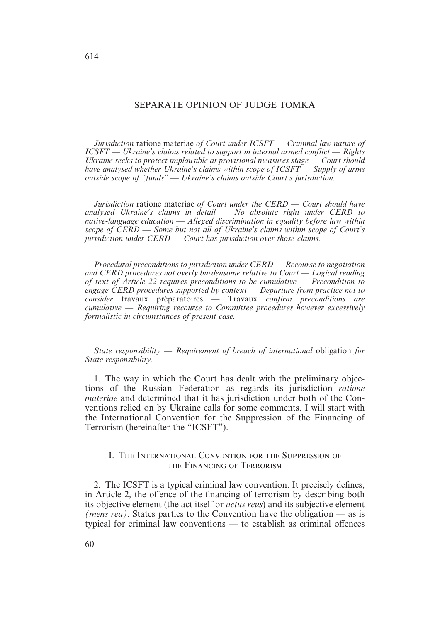### SEPARATE OPINION OF JUDGE TOMKA

*Jurisdiction* ratione materiae *of Court under ICSFT* — *Criminal law nature of ICSFT* — *Ukraine's claims related to support in internal armed conflict* — *Rights Ukraine seeks to protect implausible at provisional measures stage — Court should have analysed whether Ukraine's claims within scope of ICSFT* — *Supply of arms outside scope of "funds"* — *Ukraine's claims outside Court's jurisdiction.* 

*Jurisdiction* ratione materiae *of Court under the CERD* — *Court should have analysed Ukraine's claims in detail* — *No absolute right under CERD to native-language education* — *Alleged discrimination in equality before law within scope of CERD* — *Some but not all of Ukraine's claims within scope of Court's jurisdiction under CERD* — *Court has jurisdiction over those claims.* 

*Procedural preconditions to jurisdiction under CERD* — *Recourse to negotiation and CERD procedures not overly burdensome relative to Court — Logical reading of text of Article 22 requires preconditions to be cumulative* — *Precondition to engage CERD procedures supported by context* — *Departure from practice not to consider* travaux préparatoires — Travaux *confirm preconditions are cumulative* — *Requiring recourse to Committee procedures however excessively formalistic in circumstances of present case.* 

#### *State responsibility* — *Requirement of breach of international* obligation *for State responsibility.*

1. The way in which the Court has dealt with the preliminary objections of the Russian Federation as regards its jurisdiction *ratione materiae* and determined that it has jurisdiction under both of the Conventions relied on by Ukraine calls for some comments. I will start with the International Convention for the Suppression of the Financing of Terrorism (hereinafter the "ICSFT").

### I. The International Convention for the Suppression of the Financing of Terrorism

2. The ICSFT is a typical criminal law convention. It precisely defines, in Article 2, the offence of the financing of terrorism by describing both its objective element (the act itself or *actus reus*) and its subjective element *(mens rea)*. States parties to the Convention have the obligation — as is typical for criminal law conventions — to establish as criminal offences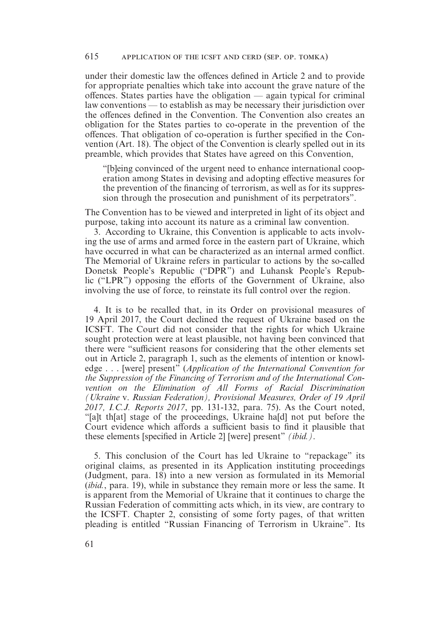under their domestic law the offences defined in Article 2 and to provide for appropriate penalties which take into account the grave nature of the offences. States parties have the obligation — again typical for criminal law conventions — to establish as may be necessary their jurisdiction over the offences defined in the Convention. The Convention also creates an obligation for the States parties to co-operate in the prevention of the offences. That obligation of co-operation is further specified in the Convention (Art. 18). The object of the Convention is clearly spelled out in its preamble, which provides that States have agreed on this Convention,

"[b]eing convinced of the urgent need to enhance international cooperation among States in devising and adopting effective measures for the prevention of the financing of terrorism, as well as for its suppression through the prosecution and punishment of its perpetrators".

The Convention has to be viewed and interpreted in light of its object and purpose, taking into account its nature as a criminal law convention.

3. According to Ukraine, this Convention is applicable to acts involving the use of arms and armed force in the eastern part of Ukraine, which have occurred in what can be characterized as an internal armed conflict. The Memorial of Ukraine refers in particular to actions by the so-called Donetsk People's Republic ("DPR") and Luhansk People's Republic ("LPR") opposing the efforts of the Government of Ukraine, also involving the use of force, to reinstate its full control over the region.

4. It is to be recalled that, in its Order on provisional measures of 19 April 2017, the Court declined the request of Ukraine based on the ICSFT. The Court did not consider that the rights for which Ukraine sought protection were at least plausible, not having been convinced that there were "sufficient reasons for considering that the other elements set out in Article 2, paragraph 1, such as the elements of intention or knowledge . . . [were] present" (*Application of the International Convention for the Suppression of the Financing of Terrorism and of the International Convention on the Elimination of All Forms of Racial Discrimination (Ukraine* v. *Russian Federation), Provisional Measures, Order of 19 April 2017, I.C.J. Reports 2017*, pp. 131-132, para. 75). As the Court noted, "[a]t th[at] stage of the proceedings, Ukraine ha[d] not put before the Court evidence which affords a sufficient basis to find it plausible that these elements [specified in Article 2] [were] present" *(ibid.)*.

5. This conclusion of the Court has led Ukraine to "repackage" its original claims, as presented in its Application instituting proceedings (Judgment, para. 18) into a new version as formulated in its Memorial (*ibid.*, para. 19), while in substance they remain more or less the same. It is apparent from the Memorial of Ukraine that it continues to charge the Russian Federation of committing acts which, in its view, are contrary to the ICSFT. Chapter 2, consisting of some forty pages, of that written pleading is entitled "Russian Financing of Terrorism in Ukraine". Its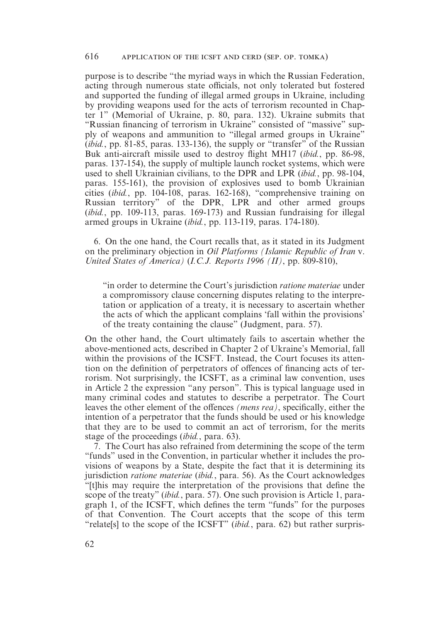purpose is to describe "the myriad ways in which the Russian Federation, acting through numerous state officials, not only tolerated but fostered and supported the funding of illegal armed groups in Ukraine, including by providing weapons used for the acts of terrorism recounted in Chapter 1" (Memorial of Ukraine, p. 80, para. 132). Ukraine submits that "Russian financing of terrorism in Ukraine" consisted of "massive" supply of weapons and ammunition to "illegal armed groups in Ukraine" (*ibid.*, pp. 81-85, paras. 133-136), the supply or "transfer" of the Russian Buk anti-aircraft missile used to destroy flight MH17 (*ibid.*, pp. 86-98, paras. 137-154), the supply of multiple launch rocket systems, which were used to shell Ukrainian civilians, to the DPR and LPR (*ibid.*, pp. 98-104, paras. 155-161), the provision of explosives used to bomb Ukrainian cities (*ibid.*, pp. 104-108, paras. 162-168), "comprehensive training on Russian territory" of the DPR, LPR and other armed groups (*ibid.*, pp. 109-113, paras. 169-173) and Russian fundraising for illegal armed groups in Ukraine (*ibid.*, pp. 113-119, paras. 174-180).

6. On the one hand, the Court recalls that, as it stated in its Judgment on the preliminary objection in *Oil Platforms (Islamic Republic of Iran* v. *United States of America)* (*I.C.J. Reports 1996 (II)*, pp. 809-810),

"in order to determine the Court's jurisdiction *ratione materiae* under a compromissory clause concerning disputes relating to the interpretation or application of a treaty, it is necessary to ascertain whether the acts of which the applicant complains 'fall within the provisions' of the treaty containing the clause" (Judgment, para. 57).

On the other hand, the Court ultimately fails to ascertain whether the above-mentioned acts, described in Chapter 2 of Ukraine's Memorial, fall within the provisions of the ICSFT. Instead, the Court focuses its attention on the definition of perpetrators of offences of financing acts of terrorism. Not surprisingly, the ICSFT, as a criminal law convention, uses in Article 2 the expression "any person". This is typical language used in many criminal codes and statutes to describe a perpetrator. The Court leaves the other element of the offences *(mens rea)*, specifically, either the intention of a perpetrator that the funds should be used or his knowledge that they are to be used to commit an act of terrorism, for the merits stage of the proceedings (*ibid.*, para. 63).

7. The Court has also refrained from determining the scope of the term "funds" used in the Convention, in particular whether it includes the provisions of weapons by a State, despite the fact that it is determining its jurisdiction *ratione materiae* (*ibid.*, para. 56). As the Court acknowledges "[t]his may require the interpretation of the provisions that define the scope of the treaty" (*ibid.*, para. 57). One such provision is Article 1, paragraph 1, of the ICSFT, which defines the term "funds" for the purposes of that Convention. The Court accepts that the scope of this term "relate[s] to the scope of the ICSFT" (*ibid.*, para. 62) but rather surpris-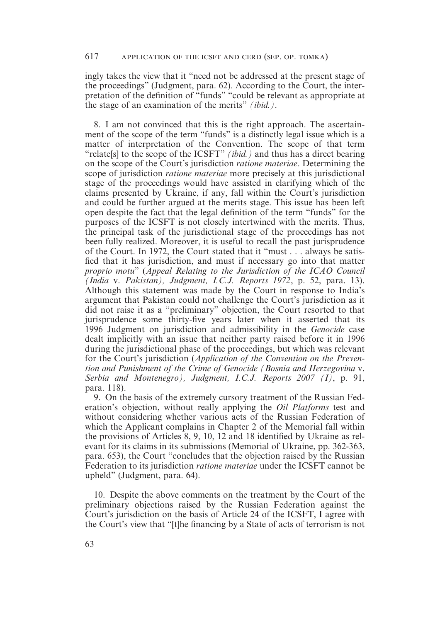ingly takes the view that it "need not be addressed at the present stage of the proceedings" (Judgment, para. 62). According to the Court, the interpretation of the definition of "funds" "could be relevant as appropriate at the stage of an examination of the merits" *(ibid.)*.

8. I am not convinced that this is the right approach. The ascertainment of the scope of the term "funds" is a distinctly legal issue which is a matter of interpretation of the Convention. The scope of that term "relate[s] to the scope of the ICSFT" *(ibid.)* and thus has a direct bearing on the scope of the Court's jurisdiction *ratione materiae*. Determining the scope of jurisdiction *ratione materiae* more precisely at this jurisdictional stage of the proceedings would have assisted in clarifying which of the claims presented by Ukraine, if any, fall within the Court's jurisdiction and could be further argued at the merits stage. This issue has been left open despite the fact that the legal definition of the term "funds" for the purposes of the ICSFT is not closely intertwined with the merits. Thus, the principal task of the jurisdictional stage of the proceedings has not been fully realized. Moreover, it is useful to recall the past jurisprudence of the Court. In 1972, the Court stated that it "must . . . always be satisfied that it has jurisdiction, and must if necessary go into that matter *proprio motu*" (*Appeal Relating to the Jurisdiction of the ICAO Council (India* v. *Pakistan), Judgment, I.C.J. Reports 1972*, p. 52, para. 13). Although this statement was made by the Court in response to India's argument that Pakistan could not challenge the Court's jurisdiction as it did not raise it as a "preliminary" objection, the Court resorted to that jurisprudence some thirty-five years later when it asserted that its 1996 Judgment on jurisdiction and admissibility in the *Genocide* case dealt implicitly with an issue that neither party raised before it in 1996 during the jurisdictional phase of the proceedings, but which was relevant for the Court's jurisdiction (*Application of the Convention on the Prevention and Punishment of the Crime of Genocide (Bosnia and Herzegovina* v. *Serbia and Montenegro), Judgment, I.C.J. Reports 2007 (I)*, p. 91, para. 118).

9. On the basis of the extremely cursory treatment of the Russian Federation's objection, without really applying the *Oil Platforms* test and without considering whether various acts of the Russian Federation of which the Applicant complains in Chapter 2 of the Memorial fall within the provisions of Articles 8, 9, 10, 12 and 18 identified by Ukraine as relevant for its claims in its submissions (Memorial of Ukraine, pp. 362-363, para. 653), the Court "concludes that the objection raised by the Russian Federation to its jurisdiction *ratione materiae* under the ICSFT cannot be upheld" (Judgment, para. 64).

10. Despite the above comments on the treatment by the Court of the preliminary objections raised by the Russian Federation against the Court's jurisdiction on the basis of Article 24 of the ICSFT, I agree with the Court's view that "[t]he financing by a State of acts of terrorism is not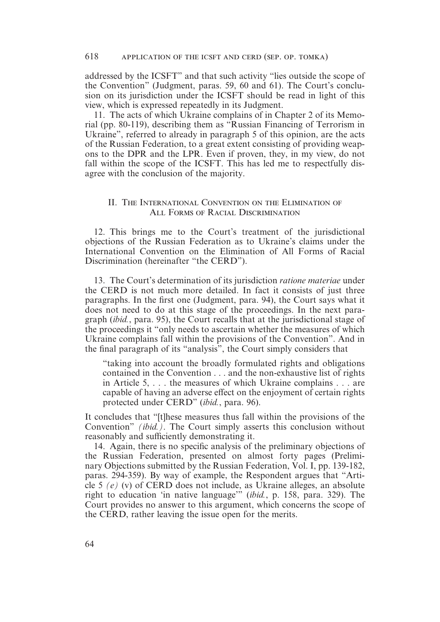addressed by the ICSFT" and that such activity "lies outside the scope of the Convention" (Judgment, paras. 59, 60 and 61). The Court's conclusion on its jurisdiction under the ICSFT should be read in light of this view, which is expressed repeatedly in its Judgment.

11. The acts of which Ukraine complains of in Chapter 2 of its Memorial (pp. 80-119), describing them as "Russian Financing of Terrorism in Ukraine", referred to already in paragraph 5 of this opinion, are the acts of the Russian Federation, to a great extent consisting of providing weapons to the DPR and the LPR. Even if proven, they, in my view, do not fall within the scope of the ICSFT. This has led me to respectfully disagree with the conclusion of the majority.

### II. The International Convention on the Elimination of All Forms of Racial Discrimination

12. This brings me to the Court's treatment of the jurisdictional objections of the Russian Federation as to Ukraine's claims under the International Convention on the Elimination of All Forms of Racial Discrimination (hereinafter "the CERD").

13. The Court's determination of its jurisdiction *ratione materiae* under the CERD is not much more detailed. In fact it consists of just three paragraphs. In the first one (Judgment, para. 94), the Court says what it does not need to do at this stage of the proceedings. In the next paragraph (*ibid.*, para. 95), the Court recalls that at the jurisdictional stage of the proceedings it "only needs to ascertain whether the measures of which Ukraine complains fall within the provisions of the Convention". And in the final paragraph of its "analysis", the Court simply considers that

"taking into account the broadly formulated rights and obligations contained in the Convention . . . and the non-exhaustive list of rights in Article 5, . . . the measures of which Ukraine complains . . . are capable of having an adverse effect on the enjoyment of certain rights protected under CERD" (*ibid.*, para. 96).

It concludes that "[t]hese measures thus fall within the provisions of the Convention" *(ibid.)*. The Court simply asserts this conclusion without reasonably and sufficiently demonstrating it.

14. Again, there is no specific analysis of the preliminary objections of the Russian Federation, presented on almost forty pages (Preliminary Objections submitted by the Russian Federation, Vol. I, pp. 139-182, paras. 294-359). By way of example, the Respondent argues that "Article 5 *(e)* (v) of CERD does not include, as Ukraine alleges, an absolute right to education 'in native language'" (*ibid.*, p. 158, para. 329). The Court provides no answer to this argument, which concerns the scope of the CERD, rather leaving the issue open for the merits.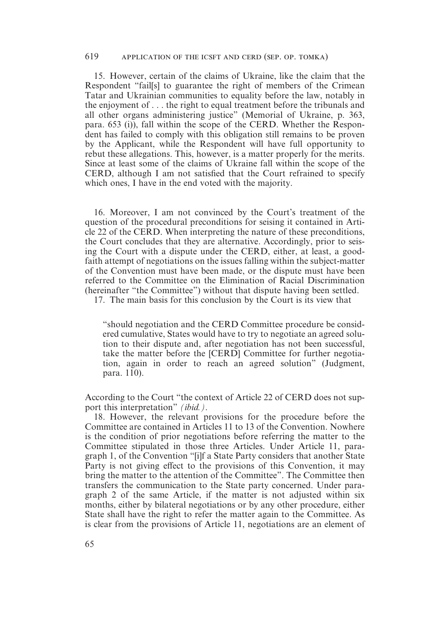15. However, certain of the claims of Ukraine, like the claim that the Respondent "fail[s] to guarantee the right of members of the Crimean Tatar and Ukrainian communities to equality before the law, notably in the enjoyment of . . . the right to equal treatment before the tribunals and all other organs administering justice" (Memorial of Ukraine, p. 363, para. 653 (i)), fall within the scope of the CERD. Whether the Respondent has failed to comply with this obligation still remains to be proven by the Applicant, while the Respondent will have full opportunity to rebut these allegations. This, however, is a matter properly for the merits. Since at least some of the claims of Ukraine fall within the scope of the CERD, although I am not satisfied that the Court refrained to specify which ones, I have in the end voted with the majority.

16. Moreover, I am not convinced by the Court's treatment of the question of the procedural preconditions for seising it contained in Article 22 of the CERD. When interpreting the nature of these preconditions, the Court concludes that they are alternative. Accordingly, prior to seising the Court with a dispute under the CERD, either, at least, a goodfaith attempt of negotiations on the issues falling within the subject-matter of the Convention must have been made, or the dispute must have been referred to the Committee on the Elimination of Racial Discrimination (hereinafter "the Committee") without that dispute having been settled.

17. The main basis for this conclusion by the Court is its view that

"should negotiation and the CERD Committee procedure be considered cumulative, States would have to try to negotiate an agreed solution to their dispute and, after negotiation has not been successful, take the matter before the [CERD] Committee for further negotiation, again in order to reach an agreed solution" (Judgment, para. 110).

According to the Court "the context of Article 22 of CERD does not support this interpretation" *(ibid.)*.

18. However, the relevant provisions for the procedure before the Committee are contained in Articles 11 to 13 of the Convention. Nowhere is the condition of prior negotiations before referring the matter to the Committee stipulated in those three Articles. Under Article 11, paragraph 1, of the Convention "[i]f a State Party considers that another State Party is not giving effect to the provisions of this Convention, it may bring the matter to the attention of the Committee". The Committee then transfers the communication to the State party concerned. Under paragraph 2 of the same Article, if the matter is not adjusted within six months, either by bilateral negotiations or by any other procedure, either State shall have the right to refer the matter again to the Committee. As is clear from the provisions of Article 11, negotiations are an element of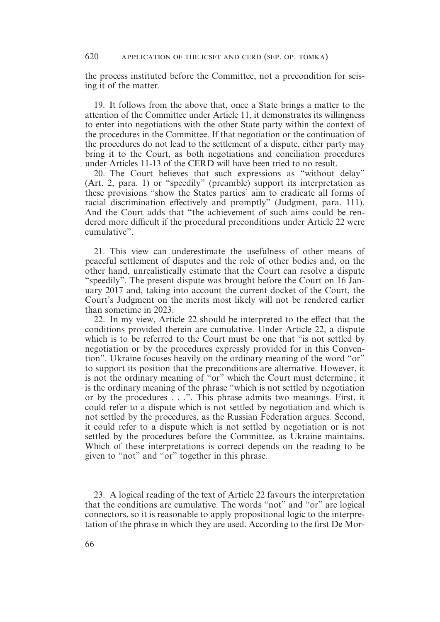the process instituted before the Committee, not a precondition for seising it of the matter.

19. It follows from the above that, once a State brings a matter to the attention of the Committee under Article 11, it demonstrates its willingness to enter into negotiations with the other State party within the context of the procedures in the Committee. If that negotiation or the continuation of the procedures do not lead to the settlement of a dispute, either party may bring it to the Court, as both negotiations and conciliation procedures under Articles 11-13 of the CERD will have been tried to no result.

20. The Court believes that such expressions as "without delay" (Art. 2, para. 1) or "speedily" (preamble) support its interpretation as these provisions "show the States parties' aim to eradicate all forms of racial discrimination effectively and promptly" (Judgment, para. 111). And the Court adds that "the achievement of such aims could be rendered more difficult if the procedural preconditions under Article 22 were cumulative".

21. This view can underestimate the usefulness of other means of peaceful settlement of disputes and the role of other bodies and, on the other hand, unrealistically estimate that the Court can resolve a dispute "speedily". The present dispute was brought before the Court on 16 January 2017 and, taking into account the current docket of the Court, the Court's Judgment on the merits most likely will not be rendered earlier than sometime in 2023.

22. In my view, Article 22 should be interpreted to the effect that the conditions provided therein are cumulative. Under Article 22, a dispute which is to be referred to the Court must be one that "is not settled by negotiation or by the procedures expressly provided for in this Convention". Ukraine focuses heavily on the ordinary meaning of the word "or" to support its position that the preconditions are alternative. However, it is not the ordinary meaning of "or" which the Court must determine ; it is the ordinary meaning of the phrase "which is not settled by negotiation or by the procedures . . .". This phrase admits two meanings. First, it could refer to a dispute which is not settled by negotiation and which is not settled by the procedures, as the Russian Federation argues. Second, it could refer to a dispute which is not settled by negotiation or is not settled by the procedures before the Committee, as Ukraine maintains. Which of these interpretations is correct depends on the reading to be given to "not" and "or" together in this phrase.

23. A logical reading of the text of Article 22 favours the interpretation that the conditions are cumulative. The words "not" and "or" are logical connectors, so it is reasonable to apply propositional logic to the interpretation of the phrase in which they are used. According to the first De Mor-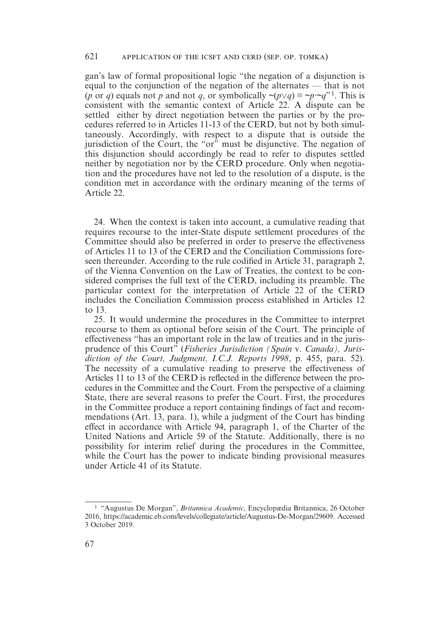gan's law of formal propositional logic "the negation of a disjunction is equal to the conjunction of the negation of the alternates — that is not (*p* or *q*) equals not *p* and not *q*, or symbolically  $\sim (p \lor q) \equiv \sim p \sim q \ll 1$ . This is consistent with the semantic context of Article 22. A dispute can be settled either by direct negotiation between the parties or by the procedures referred to in Articles 11-13 of the CERD, but not by both simultaneously. Accordingly, with respect to a dispute that is outside the jurisdiction of the Court, the "or" must be disjunctive. The negation of this disjunction should accordingly be read to refer to disputes settled neither by negotiation nor by the CERD procedure. Only when negotiation and the procedures have not led to the resolution of a dispute, is the condition met in accordance with the ordinary meaning of the terms of Article 22.

24. When the context is taken into account, a cumulative reading that requires recourse to the inter-State dispute settlement procedures of the Committee should also be preferred in order to preserve the effectiveness of Articles 11 to 13 of the CERD and the Conciliation Commissions foreseen thereunder. According to the rule codified in Article 31, paragraph 2, of the Vienna Convention on the Law of Treaties, the context to be considered comprises the full text of the CERD, including its preamble. The particular context for the interpretation of Article 22 of the CERD includes the Conciliation Commission process established in Articles 12 to 13.

25. It would undermine the procedures in the Committee to interpret recourse to them as optional before seisin of the Court. The principle of effectiveness "has an important role in the law of treaties and in the jurisprudence of this Court" (*Fisheries Jurisdiction (Spain* v. *Canada), Jurisdiction of the Court, Judgment, I.C.J. Reports 1998*, p. 455, para. 52). The necessity of a cumulative reading to preserve the effectiveness of Articles 11 to 13 of the CERD is reflected in the difference between the procedures in the Committee and the Court. From the perspective of a claiming State, there are several reasons to prefer the Court. First, the procedures in the Committee produce a report containing findings of fact and recommendations (Art. 13, para. 1), while a judgment of the Court has binding effect in accordance with Article 94, paragraph 1, of the Charter of the United Nations and Article 59 of the Statute. Additionally, there is no possibility for interim relief during the procedures in the Committee, while the Court has the power to indicate binding provisional measures under Article 41 of its Statute.

 <sup>1 &</sup>quot;Augustus De Morgan", *Britannica Academic*, Encyclopædia Britannica, 26 October 2016, https://academic.eb.com/levels/collegiate/article/Augustus-De- Morgan/29609. Accessed 3 October 2019.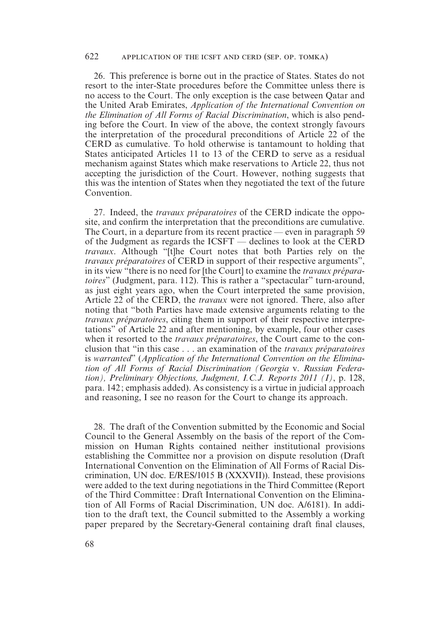26. This preference is borne out in the practice of States. States do not resort to the inter-State procedures before the Committee unless there is no access to the Court. The only exception is the case between Qatar and the United Arab Emirates, *Application of the International Convention on the Elimination of All Forms of Racial Discrimination*, which is also pending before the Court. In view of the above, the context strongly favours the interpretation of the procedural preconditions of Article 22 of the CERD as cumulative. To hold otherwise is tantamount to holding that States anticipated Articles 11 to 13 of the CERD to serve as a residual mechanism against States which make reservations to Article 22, thus not accepting the jurisdiction of the Court. However, nothing suggests that this was the intention of States when they negotiated the text of the future Convention.

27. Indeed, the *travaux préparatoires* of the CERD indicate the opposite, and confirm the interpretation that the preconditions are cumulative. The Court, in a departure from its recent practice — even in paragraph 59 of the Judgment as regards the ICSFT — declines to look at the CERD *travaux*. Although "[t]he Court notes that both Parties rely on the *travaux préparatoires* of CERD in support of their respective arguments", in its view "there is no need for [the Court] to examine the *travaux préparatoires*" (Judgment, para. 112). This is rather a "spectacular" turn-around, as just eight years ago, when the Court interpreted the same provision, Article 22 of the CERD, the *travaux* were not ignored. There, also after noting that "both Parties have made extensive arguments relating to the *travaux préparatoires*, citing them in support of their respective interpretations" of Article 22 and after mentioning, by example, four other cases when it resorted to the *travaux préparatoires*, the Court came to the conclusion that "in this case . . . an examination of the *travaux préparatoires* is *warranted*" (*Application of the International Convention on the Elimination of All Forms of Racial Discrimination (Georgia* v. *Russian Federation), Preliminary Objections, Judgment, I.C.J. Reports 2011 (I)*, p. 128, para. 142 ; emphasis added). As consistency is a virtue in judicial approach and reasoning, I see no reason for the Court to change its approach.

28. The draft of the Convention submitted by the Economic and Social Council to the General Assembly on the basis of the report of the Commission on Human Rights contained neither institutional provisions establishing the Committee nor a provision on dispute resolution (Draft International Convention on the Elimination of All Forms of Racial Discrimination, UN doc. E/RES/1015 B (XXXVII)). Instead, these provisions were added to the text during negotiations in the Third Committee (Report of the Third Committee : Draft International Convention on the Elimination of All Forms of Racial Discrimination, UN doc. A/6181). In addition to the draft text, the Council submitted to the Assembly a working paper prepared by the Secretary-General containing draft final clauses,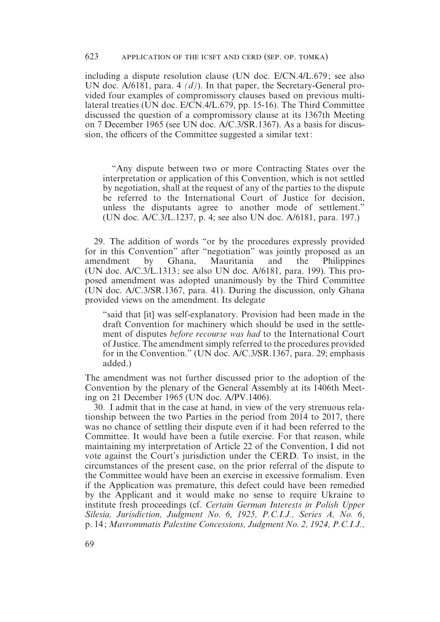including a dispute resolution clause (UN doc. E/CN.4/L.679 ; see also UN doc. A/6181, para. 4 *(d)*). In that paper, the Secretary-General provided four examples of compromissory clauses based on previous multilateral treaties (UN doc. E/CN.4/L.679, pp. 15-16). The Third Committee discussed the question of a compromissory clause at its 1367th Meeting on 7 December 1965 (see UN doc. A/C.3/SR.1367). As a basis for discussion, the officers of the Committee suggested a similar text :

"Any dispute between two or more Contracting States over the interpretation or application of this Convention, which is not settled by negotiation, shall at the request of any of the parties to the dispute be referred to the International Court of Justice for decision, unless the disputants agree to another mode of settlement." (UN doc. A/C.3/L.1237, p. 4; see also UN doc. A/6181, para. 197.)

29. The addition of words "or by the procedures expressly provided for in this Convention" after "negotiation" was jointly proposed as an amendment by Ghana, Mauritania and the Philippines (UN doc. A/C.3/L.1313 ; see also UN doc. A/6181, para. 199). This proposed amendment was adopted unanimously by the Third Committee (UN doc. A/C.3/SR.1367, para. 41). During the discussion, only Ghana provided views on the amendment. Its delegate

"said that [it] was self-explanatory. Provision had been made in the draft Convention for machinery which should be used in the settlement of disputes *before recourse was had* to the International Court of Justice. The amendment simply referred to the procedures provided for in the Convention." (UN doc. A/C.3/SR.1367, para. 29; emphasis added.)

The amendment was not further discussed prior to the adoption of the Convention by the plenary of the General Assembly at its 1406th Meeting on 21 December 1965 (UN doc. A/PV.1406).

30. I admit that in the case at hand, in view of the very strenuous relationship between the two Parties in the period from 2014 to 2017, there was no chance of settling their dispute even if it had been referred to the Committee. It would have been a futile exercise. For that reason, while maintaining my interpretation of Article 22 of the Convention, I did not vote against the Court's jurisdiction under the CERD. To insist, in the circumstances of the present case, on the prior referral of the dispute to the Committee would have been an exercise in excessive formalism. Even if the Application was premature, this defect could have been remedied by the Applicant and it would make no sense to require Ukraine to institute fresh proceedings (cf. *Certain German Interests in Polish Upper Silesia, Jurisdiction, Judgment No. 6, 1925, P.C.I.J., Series A, No. 6*, p. 14 ; *Mavrommatis Palestine Concessions, Judgment No. 2, 1924, P.C.I.J.,*